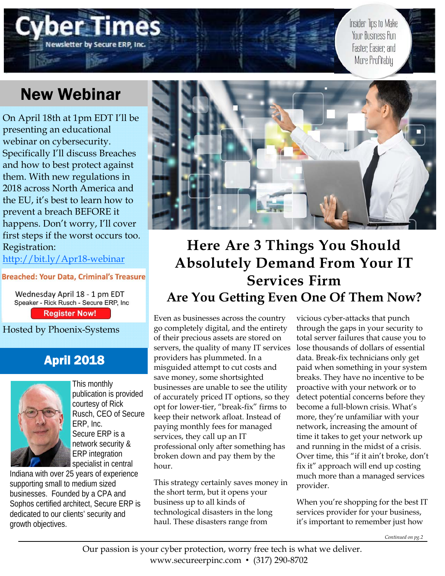# **Newsletter by Secure ERP, Inc**

Insider Tips to Make Your Business Run Faster, Easier, and More Profitably

## New Webinar

On April 18th at 1pm EDT I'll be presenting an educational webinar on cybersecurity. Specifically I'll discuss Breaches and how to best protect against them. With new regulations in 2018 across North America and the EU, it's best to learn how to prevent a breach BEFORE it happens. Don't worry, I'll cover first steps if the worst occurs too. Registration:

http://bit.ly/Apr18-webinar

#### **Breached: Your Data, Criminal's Treasure**

Wednesday April 18 - 1 pm EDT Speaker - Rick Rusch - Secure ERP, Inc **Register Now!** 

Hosted by Phoenix-Systems

## April 2018



This monthly publication is provided courtesy of Rick Rusch, CEO of Secure ERP, Inc. Secure ERP is a network security & ERP integration specialist in central

Indiana with over 25 years of experience supporting small to medium sized businesses. Founded by a CPA and Sophos certified architect, Secure ERP is dedicated to our clients' security and growth objectives.



## **Here Are 3 Things You Should Absolutely Demand From Your IT Services Firm Are You Getting Even One Of Them Now?**

Even as businesses across the country go completely digital, and the entirety of their precious assets are stored on servers, the quality of many IT services providers has plummeted. In a misguided attempt to cut costs and save money, some shortsighted businesses are unable to see the utility of accurately priced IT options, so they opt for lower-tier, "break-fix" firms to keep their network afloat. Instead of paying monthly fees for managed services, they call up an IT professional only after something has broken down and pay them by the hour.

This strategy certainly saves money in the short term, but it opens your business up to all kinds of technological disasters in the long haul. These disasters range from

vicious cyber-attacks that punch through the gaps in your security to total server failures that cause you to lose thousands of dollars of essential data. Break-fix technicians only get paid when something in your system breaks. They have no incentive to be proactive with your network or to detect potential concerns before they become a full-blown crisis. What's more, they're unfamiliar with your network, increasing the amount of time it takes to get your network up and running in the midst of a crisis. Over time, this "if it ain't broke, don't fix it" approach will end up costing much more than a managed services provider.

When you're shopping for the best IT services provider for your business, it's important to remember just how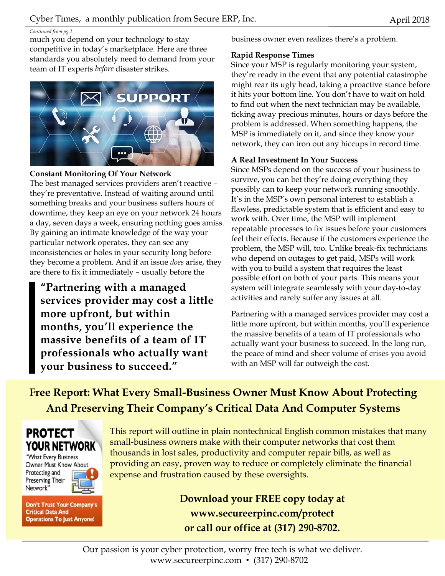#### *Continued from pg.1*

much you depend on your technology to stay competitive in today's marketplace. Here are three standards you absolutely need to demand from your team of IT experts *before* disaster strikes.



#### **Constant Monitoring Of Your Network**

The best managed services providers aren't reactive – they're preventative. Instead of waiting around until something breaks and your business suffers hours of downtime, they keep an eye on your network 24 hours a day, seven days a week, ensuring nothing goes amiss. By gaining an intimate knowledge of the way your particular network operates, they can see any inconsistencies or holes in your security long before they become a problem. And if an issue *does* arise, they are there to fix it immediately – usually before the

**"Partnering with a managed services provider may cost a little more upfront, but within months, you'll experience the massive benefits of a team of IT professionals who actually want your business to succeed."** 

business owner even realizes there's a problem.

#### **Rapid Response Times**

Since your MSP is regularly monitoring your system, they're ready in the event that any potential catastrophe might rear its ugly head, taking a proactive stance before it hits your bottom line. You don't have to wait on hold to find out when the next technician may be available, ticking away precious minutes, hours or days before the problem is addressed. When something happens, the MSP is immediately on it, and since they know your network, they can iron out any hiccups in record time.

#### **A Real Investment In Your Success**

Since MSPs depend on the success of your business to survive, you can bet they're doing everything they possibly can to keep your network running smoothly. It's in the MSP's own personal interest to establish a flawless, predictable system that is efficient and easy to work with. Over time, the MSP will implement repeatable processes to fix issues before your customers feel their effects. Because if the customers experience the problem, the MSP will, too. Unlike break-fix technicians who depend on outages to get paid, MSPs will work with you to build a system that requires the least possible effort on both of your parts. This means your system will integrate seamlessly with your day-to-day activities and rarely suffer any issues at all.

Partnering with a managed services provider may cost a little more upfront, but within months, you'll experience the massive benefits of a team of IT professionals who actually want your business to succeed. In the long run, the peace of mind and sheer volume of crises you avoid with an MSP will far outweigh the cost.

**Free Report: What Every Small-Business Owner Must Know About Protecting And Preserving Their Company's Critical Data And Computer Systems** 

### **PROTECT YOUR NETWORK**

"What Every Business Owner Must Know About Protecting and Preserving Their Network'



**Don't Trust Your Company's Critical Data And Operations To Just Anyone!** 

This report will outline in plain nontechnical English common mistakes that many small-business owners make with their computer networks that cost them thousands in lost sales, productivity and computer repair bills, as well as providing an easy, proven way to reduce or completely eliminate the financial expense and frustration caused by these oversights.

> **Download your FREE copy today at www.secureerpinc.com/protect or call our office at (317) 290-8702.**

Our passion is your cyber protection, worry free tech is what we deliver. www.secureerpinc.com • (317) 290-8702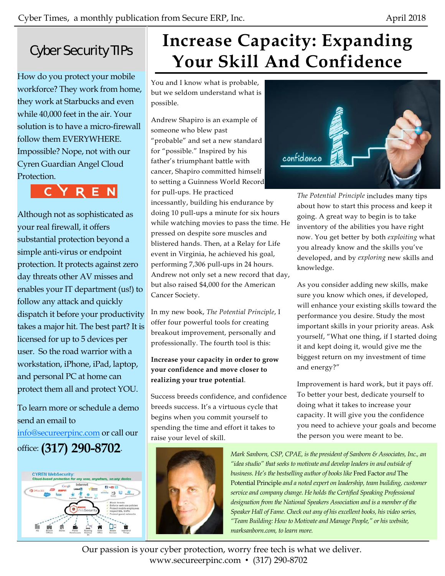## Cyber Security TIPs

How do you protect your mobile workforce? They work from home, they work at Starbucks and even while 40,000 feet in the air. Your solution is to have a micro-firewall follow them EVERYWHERE. Impossible? Nope, not with our Cyren Guardian Angel Cloud Protection.



Although not as sophisticated as your real firewall, it offers substantial protection beyond a simple anti-virus or endpoint protection. It protects against zero day threats other AV misses and enables your IT department (us!) to follow any attack and quickly dispatch it before your productivity takes a major hit. The best part? It is licensed for up to 5 devices per user. So the road warrior with a workstation, iPhone, iPad, laptop, and personal PC at home can protect them all and protect YOU.

To learn more or schedule a demo send an email to info@secureerpinc.com or call our office: **(317) 290-8702**.



# **Increase Capacity: Expanding Your Skill And Confidence**

You and I know what is probable, but we seldom understand what is possible.

Andrew Shapiro is an example of someone who blew past "probable" and set a new standard for "possible." Inspired by his father's triumphant battle with cancer, Shapiro committed himself to setting a Guinness World Record for pull-ups. He practiced

incessantly, building his endurance by doing 10 pull-ups a minute for six hours while watching movies to pass the time. He pressed on despite sore muscles and blistered hands. Then, at a Relay for Life event in Virginia, he achieved his goal, performing 7,306 pull-ups in 24 hours. Andrew not only set a new record that day, but also raised \$4,000 for the American Cancer Society.

In my new book, *The Potential Principle*, I offer four powerful tools for creating breakout improvement, personally and professionally. The fourth tool is this:

#### **Increase your capacity in order to grow your confidence and move closer to realizing your true potential**.

Success breeds confidence, and confidence breeds success. It's a virtuous cycle that begins when you commit yourself to spending the time and effort it takes to raise your level of skill.





*The Potential Principle* includes many tips about how to start this process and keep it going. A great way to begin is to take inventory of the abilities you have right now. You get better by both *exploiting* what you already know and the skills you've developed, and by *exploring* new skills and knowledge.

As you consider adding new skills, make sure you know which ones, if developed, will enhance your existing skills toward the performance you desire. Study the most important skills in your priority areas. Ask yourself, "What one thing, if I started doing it and kept doing it, would give me the biggest return on my investment of time and energy?"

Improvement is hard work, but it pays off. To better your best, dedicate yourself to doing what it takes to increase your capacity. It will give you the confidence you need to achieve your goals and become the person you were meant to be.

*Mark Sanborn, CSP, CPAE, is the president of Sanborn & Associates, Inc., an "idea studio" that seeks to motivate and develop leaders in and outside of business. He's the bestselling author of books like* Fred Factor *and* The Potential Principle *and a noted expert on leadership, team building, customer service and company change. He holds the Certified Speaking Professional designation from the National Speakers Association and is a member of the Speaker Hall of Fame. Check out any of his excellent books, his video series, "Team Building: How to Motivate and Manage People," or his website, marksanborn.com, to learn more.* 

Our passion is your cyber protection, worry free tech is what we deliver. www.secureerpinc.com • (317) 290-8702